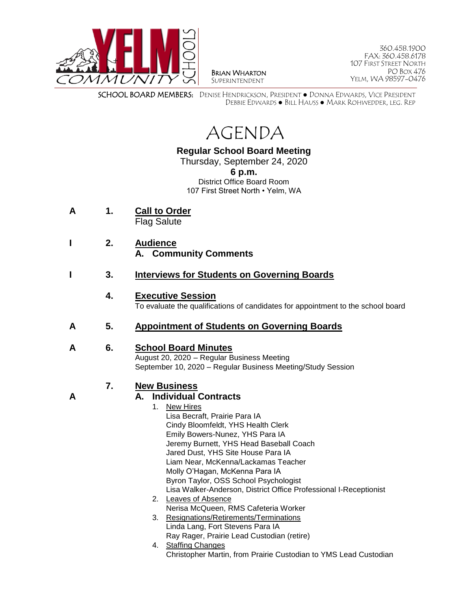

BRIAN WHARTON SUPERINTENDENT

360.458.1900 FAX: 360.458.6178 107 FIRST STREET NORTH PO BOX 476 YELM, WA 98597-0476

SCHOOL BOARD MEMBERS: DENISE HENDRICKSON, PRESIDENT ● DONNA EDWARDS, VICE PRESIDENT DEBBIE EDWARDS ● BILL HAUSS ● MARK ROHWEDDER, LEG. REP



# **Regular School Board Meeting**

Thursday, September 24, 2020 **6 p.m.** District Office Board Room 107 First Street North • Yelm, WA

- **A 1. Call to Order** Flag Salute
- **I 2. Audience A. Community Comments**
- **I 3. Interviews for Students on Governing Boards**

## **4. Executive Session**

To evaluate the qualifications of candidates for appointment to the school board

## **A 5. Appointment of Students on Governing Boards**

### **A 6. School Board Minutes**

August 20, 2020 – Regular Business Meeting September 10, 2020 – Regular Business Meeting/Study Session

### **7. New Business**

## **A A. Individual Contracts**

- 1. New Hires Lisa Becraft, Prairie Para IA Cindy Bloomfeldt, YHS Health Clerk Emily Bowers-Nunez, YHS Para IA Jeremy Burnett, YHS Head Baseball Coach Jared Dust, YHS Site House Para IA Liam Near, McKenna/Lackamas Teacher Molly O'Hagan, McKenna Para IA Byron Taylor, OSS School Psychologist Lisa Walker-Anderson, District Office Professional I-Receptionist
- 2. Leaves of Absence Nerisa McQueen, RMS Cafeteria Worker
- 3. Resignations/Retirements/Terminations Linda Lang, Fort Stevens Para IA Ray Rager, Prairie Lead Custodian (retire)
- 4. Staffing Changes Christopher Martin, from Prairie Custodian to YMS Lead Custodian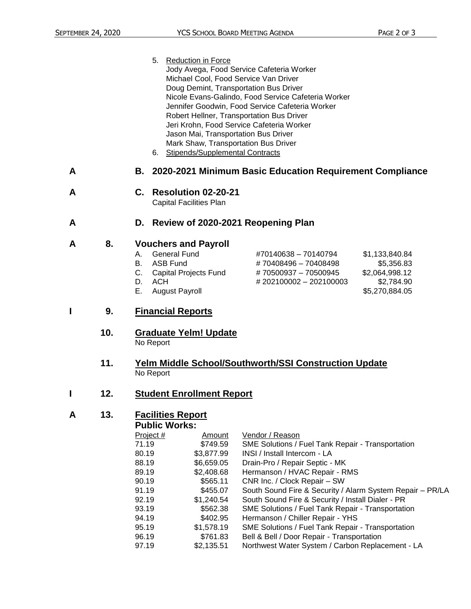5. Reduction in Force Jody Avega, Food Service Cafeteria Worker Michael Cool, Food Service Van Driver Doug Demint, Transportation Bus Driver Nicole Evans-Galindo, Food Service Cafeteria Worker Jennifer Goodwin, Food Service Cafeteria Worker Robert Hellner, Transportation Bus Driver Jeri Krohn, Food Service Cafeteria Worker Jason Mai, Transportation Bus Driver Mark Shaw, Transportation Bus Driver 6. Stipends/Supplemental Contracts

### **A B. 2020-2021 Minimum Basic Education Requirement Compliance**

- **A C. Resolution 02-20-21** Capital Facilities Plan
	-

### **A D. Review of 2020-2021 Reopening Plan**

#### **A 8. Vouchers and Payroll**

- A. General Fund #70140638 70140794 \$1,133,840.84
- B. ASB Fund  $\texttt{\# 70408496 70408498}$  \$5,356.83 C. Capital Projects Fund # 70500937 – 70500945 \$2,064,998.12 D. ACH  $\# 202100002 - 202100003$  \$2,784.90
- 
- E. August Payroll **E.** August Payroll
- 

### **I 9. Financial Reports**

**10. Graduate Yelm! Update** No Report

#### **11. Yelm Middle School/Southworth/SSI Construction Update** No Report

### **I 12. Student Enrollment Report**

### **A 13. Facilities Report**

#### **Public Works:**

| Project # | Amount     | Vendor / Reason                                           |
|-----------|------------|-----------------------------------------------------------|
| 71.19     | \$749.59   | <b>SME Solutions / Fuel Tank Repair - Transportation</b>  |
| 80.19     | \$3,877.99 | INSI / Install Intercom - LA                              |
| 88.19     | \$6,659.05 | Drain-Pro / Repair Septic - MK                            |
| 89.19     | \$2,408.68 | Hermanson / HVAC Repair - RMS                             |
| 90.19     | \$565.11   | CNR Inc. / Clock Repair - SW                              |
| 91.19     | \$455.07   | South Sound Fire & Security / Alarm System Repair - PR/LA |
| 92.19     | \$1,240.54 | South Sound Fire & Security / Install Dialer - PR         |
| 93.19     | \$562.38   | SME Solutions / Fuel Tank Repair - Transportation         |
| 94.19     | \$402.95   | Hermanson / Chiller Repair - YHS                          |
| 95.19     | \$1,578.19 | SME Solutions / Fuel Tank Repair - Transportation         |
| 96.19     | \$761.83   | Bell & Bell / Door Repair - Transportation                |
| 97.19     | \$2,135.51 | Northwest Water System / Carbon Replacement - LA          |
|           |            |                                                           |